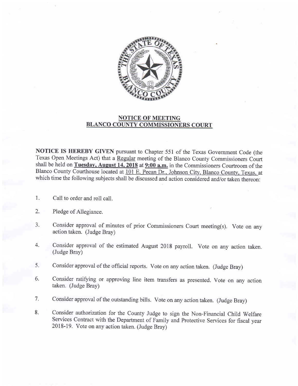

## NOTICE OF MEETING BLANCO COUNTY COMMISSIONERS COURT

NOTICE IS HEREBY GIVEN pursuant to Chapter 551 of the Texas Government Code (the Texas Open Meetings Act) that a Regular meeting of the Blanco County Commissioners Court shall be held on Tuesday, August  $\overline{14,2018}$  at  $\overline{9:00}$  a.m. in the Commissioners Courtroom of the Blanco County Courthouse located at 101 E. Pecan Dr., Johnson City, Blanco County, Texas, at which time the following subjects shall be discussed and action considered and/or taken thereon:

- Call to order and roll call. 1.
- Pledge of Allegiance. 2.
- Consider approval of minutes of prior Commissioners Court meeting(s). Vote on any action taken. (Judge Bray) 3.
- Consider approval of the estimated August 2018 payroll. Vote on any action taken. (Judge Bray) 4.
- Consider approval of the official reports. vote on any action taken. (Judge Brayl 5.
- Consider ratifying or approving line item transfers as presented. Vote on any action taken. (Judge Bray) 6.
- Consider approval of the outstanding bills. Vote on any action taken. (Judge Bray) 7.
- Consider authorization for the County Judge to sign the Non-Financial Child Welfare Services Contract with the Department of Family and Protective Services for fiscal year 2018-19. Vote on any action taken. (Judge Bray) 8.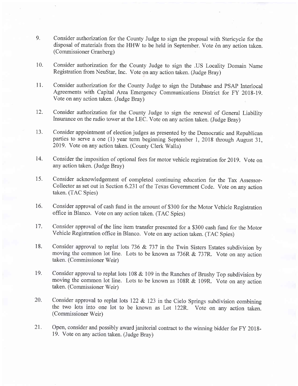- 9. Consider authorization for the County Judge to sign the proposal with Stericycle for the disposal of materials from the HHW to be held in September. Vote on any action taken. (Commissioner Granberg)
- 10. Consider authorization for the County Judge to sign the .US Locality Domain Name Registration from NeuStar, Inc. Vote on any action taken. (Judge Bray)
- 11. Consider authorization for the County Judge to sign the Database and PSAP Interlocal Agreements with Capital Area Emergency Communications District for FY 2018-19. Vote on any action taken. (Judge Bray)
- 12. Consider authorization for the County Judge to sign the renewal of General Liability Insurance on the radio tower at the LEC. vote on any action taken. (Judge Bray)
- 13. Consider appointment of election judges as presented by the Democratic and Republican parties to serve a one (1) year term beginning September 1, 2018 through August 31, 2019. Vote on any action taken. (County Clerk Walla)
- 14. Consider the imposition of optional fees for motor vehicle registration for 2019. Vote on any action taken. (Judge Bray)
- 15. Consider acknowledgement of completed continuing education for the Tax Assessor-Collector as set out in Section 6.23I of the Texas Govemment Code. Vote on any action taken. (TAC Spies)
- 16. Consider approval of cash fund in the amount of \$300 for the Motor Vehicle Registration office in Blanco. Vote on any action taken. (TAC Spies)
- 17. Consider approval of the line item transfer presented for a \$300 cash fund for the Motor vehicle Registration office in Blanco. Vote on any action taken. (TAC Spies)
- 18. Consider approval to replat lots 736 & 737 in the Twin Sisters Estates subdivision by moving the common lot line. Lots to be known as 736R & 737R. Vote on any action taken. (Commissioner Weir)
- 19. Consider approval to replat lots 108 & 109 in the Ranches of Brushy Top subdivision by moving the common lot line. Lots to be known as 108R & 109R. Vote on any action taken. (Commissioner Weir)
- 20. Consider approval to replat lots  $122 \& 123$  in the Cielo Springs subdivision combining the two lots into one lot to be known as Lot 122F.. Vote on any action taken. (Commissioner Weir)
- Open, consider and possibly award janitorial contract to the winning bidder for FY 2018- 19. Vote on any action taken. (Judge Bray) 2t.